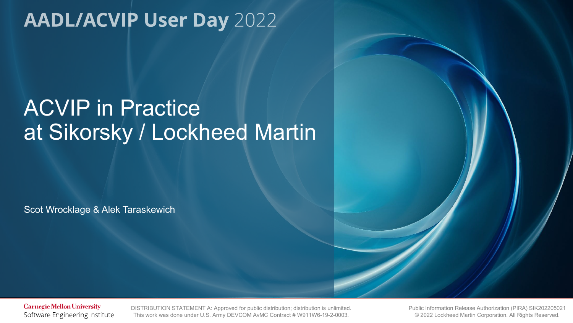# ACVIP in Practice at Sikorsky / Lockheed Martin

Scot Wrocklage & Alek Taraskewich

**Carnegie Mellon University** Software Engineering Institute

**DISTRIBUTION STATEMENT A: Approved for public distribution; distribution is unlimited.** DISTRIBUTION STATEMENT A: Approved for public distribution; distribution is unlimited. This work was done under U.S. Army DEVCOM AvMC Contract # W911W6-19-2-0003.

iblic Information Release Authorization (PIRA) SIK2022050<br>© 2022 Lockheed Martin Corporation. All Rights Reserved. Public Information Release Authorization (PIRA) SIK202205021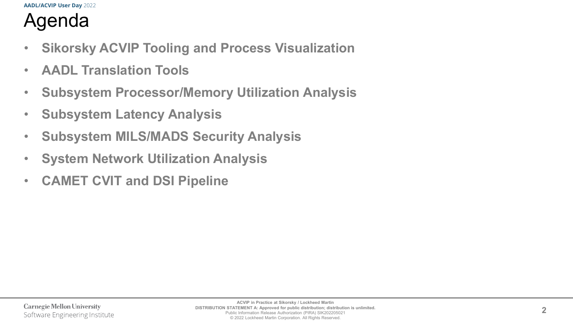# Agenda

- **Sikorsky ACVIP Tooling and Process Visualization**
- **AADL Translation Tools**
- **Subsystem Processor/Memory Utilization Analysis**
- **Subsystem Latency Analysis**
- **Subsystem MILS/MADS Security Analysis**
- **System Network Utilization Analysis**
- **CAMET CVIT and DSI Pipeline**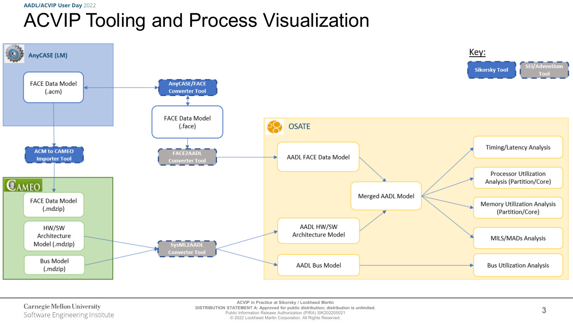## **AADL/ACVIP User Day** 2022 ACVIP Tooling and Process Visualization



Carnegie Mellon University Software Engineering Institute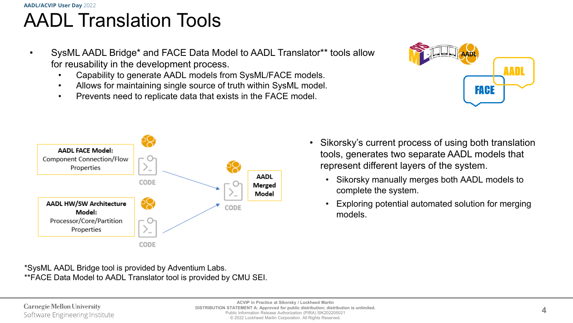## **AADL/ACVIP User Day** 2022 AADL Translation Tools

- SysML AADL Bridge\* and FACE Data Model to AADL Translator\*\* tools allow for reusability in the development process.
	- Capability to generate AADL models from SysML/FACE models.
	- Allows for maintaining single source of truth within SysML model.
	- Prevents need to replicate data that exists in the FACE model.





\*SysML AADL Bridge tool is provided by Adventium Labs. \*\*FACE Data Model to AADL Translator tool is provided by CMU SEI.

- Sikorsky's current process of using both translation tools, generates two separate AADL models that represent different layers of the system.
	- Sikorsky manually merges both AADL models to complete the system.
	- Exploring potential automated solution for merging models.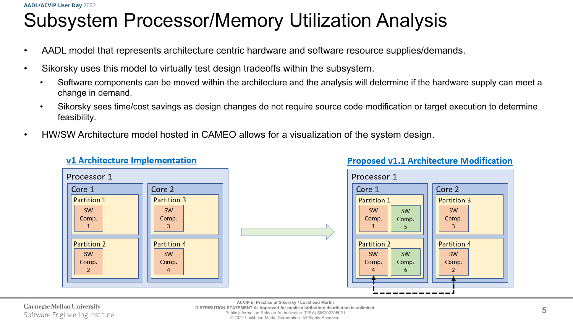# Subsystem Processor/Memory Utilization Analysis

- AADL model that represents architecture centric hardware and software resource supplies/demands.
- Sikorsky uses this model to virtually test design tradeoffs within the subsystem.

v1 Architecture Implementation

- Software components can be moved within the architecture and the analysis will determine if the hardware supply can meet a change in demand.
- Sikorsky sees time/cost savings as design changes do not require source code modification or target execution to determine feasibility.
- HW/SW Architecture model hosted in CAMEO allows for a visualization of the system design.



### **Proposed v1.1 Architecture Modification**

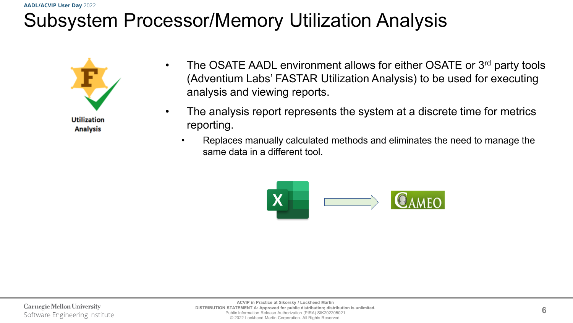# Subsystem Processor/Memory Utilization Analysis



- The OSATE AADL environment allows for either OSATE or 3<sup>rd</sup> party tools (Adventium Labs' FASTAR Utilization Analysis) to be used for executing analysis and viewing reports.
- The analysis report represents the system at a discrete time for metrics reporting.
	- Replaces manually calculated methods and eliminates the need to manage the same data in a different tool.

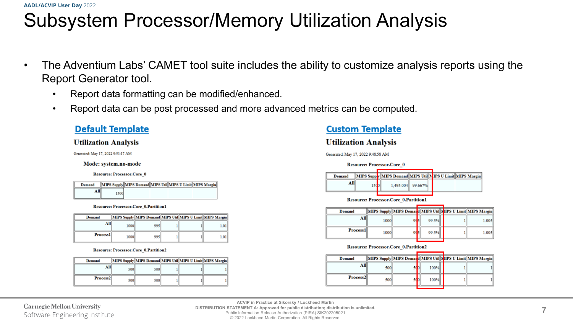# Subsystem Processor/Memory Utilization Analysis

- The Adventium Labs' CAMET tool suite includes the ability to customize analysis reports using the Report Generator tool.
	- Report data formatting can be modified/enhanced.
	- Report data can be post processed and more advanced metrics can be computed.

### **Default Template**

### **Utilization Analysis**

Generated: May 17, 2022 9:51:17 AM

#### Mode: system.no-mode

**Resource: Processor.Core 0** 

| Demand |      | MIPS Supply MIPS Demand MIPS Util MIPS U Limit MIPS Margin |
|--------|------|------------------------------------------------------------|
| All    | 1500 |                                                            |

#### Resource: Processor.Core 0.Partition1

| Demand   |      | MIPS Supply MIPS Demand MIPS Util MIPS U Limit MIPS Margin |  |      |
|----------|------|------------------------------------------------------------|--|------|
| All      | 1000 | 995                                                        |  | 1.01 |
| Process1 | 1000 | 995                                                        |  | 1.01 |

#### Resource: Processor.Core\_0.Partition2

| Demand               |     | MIPS Supply MIPS Demand MIPS Util MIPS U Limit MIPS Margin |  |  |
|----------------------|-----|------------------------------------------------------------|--|--|
| All                  | 500 | 500                                                        |  |  |
| Process <sub>2</sub> | 500 | <b>500</b>                                                 |  |  |

### **Custom Template**

### **Utilization Analysis**

Generated: May 17, 2022 9:48:58 AM

|        | <b>Resource: Processor.Core 0</b> |  |                   |  |                                                            |
|--------|-----------------------------------|--|-------------------|--|------------------------------------------------------------|
| Demand |                                   |  |                   |  | MIPS Supply MIPS Demand MIPS Util NIPS U Limit MIPS Margin |
| All    |                                   |  | 1.495.004 99.667% |  |                                                            |

**Resource: Processor.Core 0.Partition1** 

| Demand   |      |    |       |  | MIPS Supply MIPS Demand MIPS Util NIPS U Limit MIPS Margin |
|----------|------|----|-------|--|------------------------------------------------------------|
| All      | 1000 |    | 99.5% |  | 1.005                                                      |
| Process1 | 1000 | ٥d | 99.5% |  | 1.005                                                      |

#### **Resource: Processor.Core 0.Partition2**

| Demand   |     |  |      |  | MIPS Supply MIPS Demand MIPS Util NIPS U Limit MIPS Margin |
|----------|-----|--|------|--|------------------------------------------------------------|
| All      | 500 |  | 100% |  |                                                            |
| Process2 | 500 |  | 100% |  |                                                            |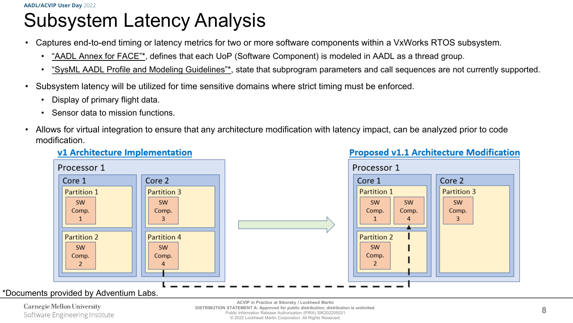# Subsystem Latency Analysis

- Captures end-to-end timing or latency metrics for two or more software components within a VxWorks RTOS subsystem.
	- "AADL Annex for FACE"\*, defines that each UoP (Software Component) is modeled in AADL as a thread group.
	- "SysML AADL Profile and Modeling Guidelines"\*, state that subprogram parameters and call sequences are not currently supported.
- Subsystem latency will be utilized for time sensitive domains where strict timing must be enforced.
	- Display of primary flight data.
	- Sensor data to mission functions.
- Allows for virtual integration to ensure that any architecture modification with latency impact, can be analyzed prior to code modification.



### v1 Architecture Implementation

### \*Documents provided by Adventium Labs.

Carnegie Mellon University Software Engineering Institute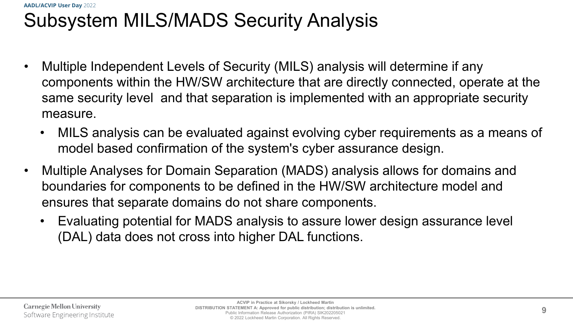## **AADL/ACVIP User Day** 2022 Subsystem MILS/MADS Security Analysis

- Multiple Independent Levels of Security (MILS) analysis will determine if any components within the HW/SW architecture that are directly connected, operate at the same security level and that separation is implemented with an appropriate security measure.
	- MILS analysis can be evaluated against evolving cyber requirements as a means of model based confirmation of the system's cyber assurance design.
- Multiple Analyses for Domain Separation (MADS) analysis allows for domains and boundaries for components to be defined in the HW/SW architecture model and ensures that separate domains do not share components.
	- Evaluating potential for MADS analysis to assure lower design assurance level (DAL) data does not cross into higher DAL functions.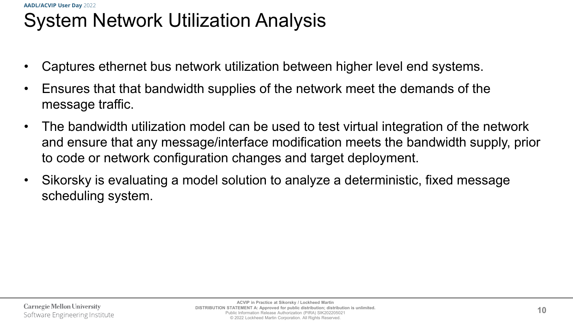## **AADL/ACVIP User Day** 2022 System Network Utilization Analysis

- Captures ethernet bus network utilization between higher level end systems.
- Ensures that that bandwidth supplies of the network meet the demands of the message traffic.
- The bandwidth utilization model can be used to test virtual integration of the network and ensure that any message/interface modification meets the bandwidth supply, prior to code or network configuration changes and target deployment.
- Sikorsky is evaluating a model solution to analyze a deterministic, fixed message scheduling system.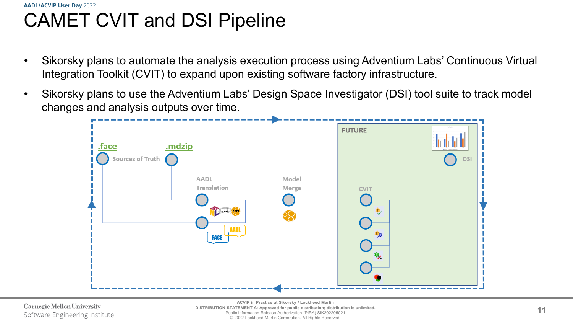## **AADL/ACVIP User Day** 2022 CAMET CVIT and DSI Pipeline

- Sikorsky plans to automate the analysis execution process using Adventium Labs' Continuous Virtual Integration Toolkit (CVIT) to expand upon existing software factory infrastructure.
- Sikorsky plans to use the Adventium Labs' Design Space Investigator (DSI) tool suite to track model changes and analysis outputs over time.